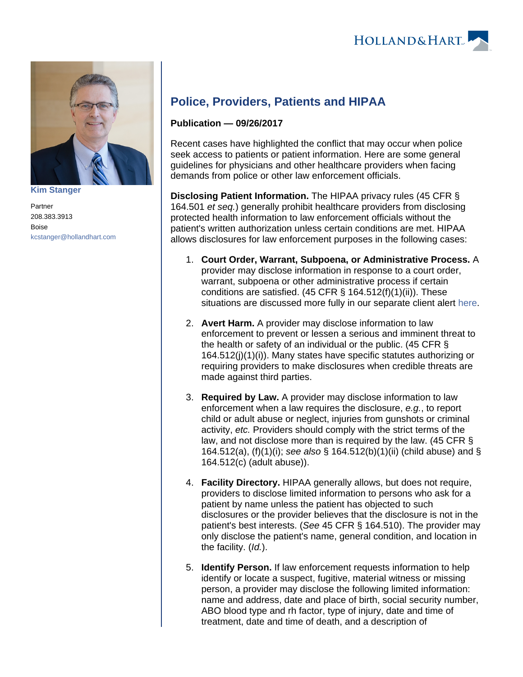

**[Kim Stanger](https://www.hollandhart.com/15954)**

Partner 208.383.3913 Boise [kcstanger@hollandhart.com](mailto:kcstanger@hollandhart.com)

## **Police, Providers, Patients and HIPAA**

## **Publication — 09/26/2017**

Recent cases have highlighted the conflict that may occur when police seek access to patients or patient information. Here are some general guidelines for physicians and other healthcare providers when facing demands from police or other law enforcement officials.

**Disclosing Patient Information.** The HIPAA privacy rules (45 CFR § 164.501 et seq.) generally prohibit healthcare providers from disclosing protected health information to law enforcement officials without the patient's written authorization unless certain conditions are met. HIPAA allows disclosures for law enforcement purposes in the following cases:

- 1. **Court Order, Warrant, Subpoena, or Administrative Process.** A provider may disclose information in response to a court order, warrant, subpoena or other administrative process if certain conditions are satisfied. (45 CFR § 164.512(f)(1)(ii)). These situations are discussed more fully in our separate client alert [here.](https://www.hollandhart.com/hipaa-responding-to-subpoenas-orders_and-administrative-demands)
- 2. **Avert Harm.** A provider may disclose information to law enforcement to prevent or lessen a serious and imminent threat to the health or safety of an individual or the public. (45 CFR § 164.512(j)(1)(i)). Many states have specific statutes authorizing or requiring providers to make disclosures when credible threats are made against third parties.
- 3. **Required by Law.** A provider may disclose information to law enforcement when a law requires the disclosure, e.g., to report child or adult abuse or neglect, injuries from gunshots or criminal activity, etc. Providers should comply with the strict terms of the law, and not disclose more than is required by the law. (45 CFR § 164.512(a), (f)(1)(i); see also § 164.512(b)(1)(ii) (child abuse) and § 164.512(c) (adult abuse)).
- 4. **Facility Directory.** HIPAA generally allows, but does not require, providers to disclose limited information to persons who ask for a patient by name unless the patient has objected to such disclosures or the provider believes that the disclosure is not in the patient's best interests. (See 45 CFR § 164.510). The provider may only disclose the patient's name, general condition, and location in the facility. (Id.).
- 5. **Identify Person.** If law enforcement requests information to help identify or locate a suspect, fugitive, material witness or missing person, a provider may disclose the following limited information: name and address, date and place of birth, social security number, ABO blood type and rh factor, type of injury, date and time of treatment, date and time of death, and a description of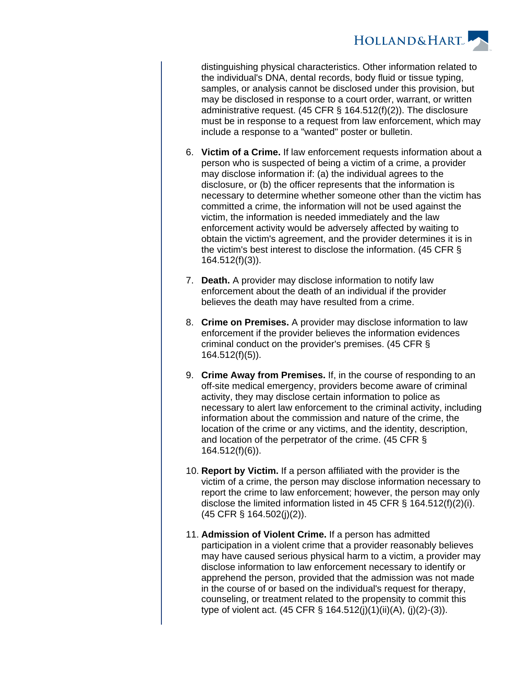

distinguishing physical characteristics. Other information related to the individual's DNA, dental records, body fluid or tissue typing, samples, or analysis cannot be disclosed under this provision, but may be disclosed in response to a court order, warrant, or written administrative request. (45 CFR § 164.512(f)(2)). The disclosure must be in response to a request from law enforcement, which may include a response to a "wanted" poster or bulletin.

- 6. **Victim of a Crime.** If law enforcement requests information about a person who is suspected of being a victim of a crime, a provider may disclose information if: (a) the individual agrees to the disclosure, or (b) the officer represents that the information is necessary to determine whether someone other than the victim has committed a crime, the information will not be used against the victim, the information is needed immediately and the law enforcement activity would be adversely affected by waiting to obtain the victim's agreement, and the provider determines it is in the victim's best interest to disclose the information. (45 CFR § 164.512(f)(3)).
- 7. **Death.** A provider may disclose information to notify law enforcement about the death of an individual if the provider believes the death may have resulted from a crime.
- 8. **Crime on Premises.** A provider may disclose information to law enforcement if the provider believes the information evidences criminal conduct on the provider's premises. (45 CFR § 164.512(f)(5)).
- 9. **Crime Away from Premises.** If, in the course of responding to an off-site medical emergency, providers become aware of criminal activity, they may disclose certain information to police as necessary to alert law enforcement to the criminal activity, including information about the commission and nature of the crime, the location of the crime or any victims, and the identity, description, and location of the perpetrator of the crime. (45 CFR § 164.512(f)(6)).
- 10. **Report by Victim.** If a person affiliated with the provider is the victim of a crime, the person may disclose information necessary to report the crime to law enforcement; however, the person may only disclose the limited information listed in 45 CFR § 164.512(f)(2)(i). (45 CFR § 164.502(j)(2)).
- 11. **Admission of Violent Crime.** If a person has admitted participation in a violent crime that a provider reasonably believes may have caused serious physical harm to a victim, a provider may disclose information to law enforcement necessary to identify or apprehend the person, provided that the admission was not made in the course of or based on the individual's request for therapy, counseling, or treatment related to the propensity to commit this type of violent act. (45 CFR § 164.512(j)(1)(ii)(A), (j)(2)-(3)).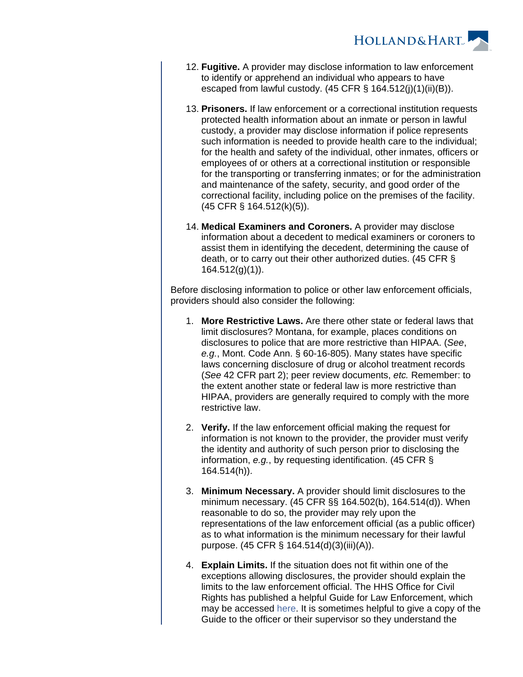

- 12. **Fugitive.** A provider may disclose information to law enforcement to identify or apprehend an individual who appears to have escaped from lawful custody. (45 CFR § 164.512(j)(1)(ii)(B)).
- 13. **Prisoners.** If law enforcement or a correctional institution requests protected health information about an inmate or person in lawful custody, a provider may disclose information if police represents such information is needed to provide health care to the individual; for the health and safety of the individual, other inmates, officers or employees of or others at a correctional institution or responsible for the transporting or transferring inmates; or for the administration and maintenance of the safety, security, and good order of the correctional facility, including police on the premises of the facility. (45 CFR § 164.512(k)(5)).
- 14. **Medical Examiners and Coroners.** A provider may disclose information about a decedent to medical examiners or coroners to assist them in identifying the decedent, determining the cause of death, or to carry out their other authorized duties. (45 CFR § 164.512(g)(1)).

Before disclosing information to police or other law enforcement officials, providers should also consider the following:

- 1. **More Restrictive Laws.** Are there other state or federal laws that limit disclosures? Montana, for example, places conditions on disclosures to police that are more restrictive than HIPAA. (See, e.g., Mont. Code Ann. § 60-16-805). Many states have specific laws concerning disclosure of drug or alcohol treatment records (See 42 CFR part 2); peer review documents, etc. Remember: to the extent another state or federal law is more restrictive than HIPAA, providers are generally required to comply with the more restrictive law.
- 2. **Verify.** If the law enforcement official making the request for information is not known to the provider, the provider must verify the identity and authority of such person prior to disclosing the information, e.g., by requesting identification. (45 CFR § 164.514(h)).
- 3. **Minimum Necessary.** A provider should limit disclosures to the minimum necessary. (45 CFR §§ 164.502(b), 164.514(d)). When reasonable to do so, the provider may rely upon the representations of the law enforcement official (as a public officer) as to what information is the minimum necessary for their lawful purpose. (45 CFR § 164.514(d)(3)(iii)(A)).
- 4. **Explain Limits.** If the situation does not fit within one of the exceptions allowing disclosures, the provider should explain the limits to the law enforcement official. The HHS Office for Civil Rights has published a helpful Guide for Law Enforcement, which may be accessed [here](https://www.hhs.gov/sites/default/files/ocr/privacy/hipaa/understanding/special/emergency/final_hipaa_guide_law_enforcement.pdf). It is sometimes helpful to give a copy of the Guide to the officer or their supervisor so they understand the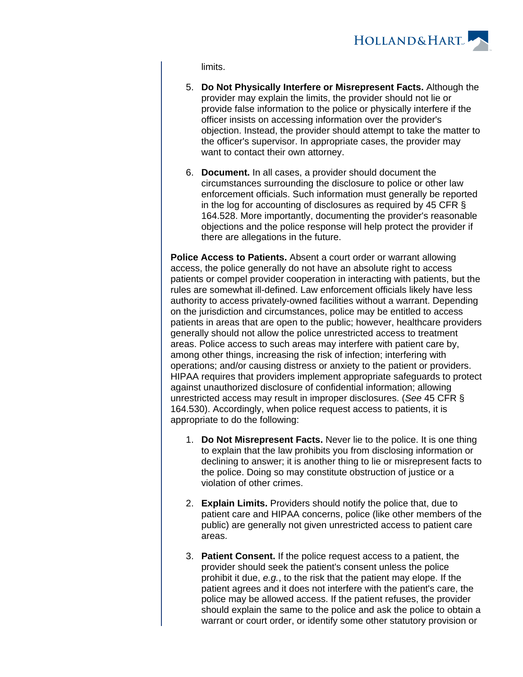

limits.

- 5. **Do Not Physically Interfere or Misrepresent Facts.** Although the provider may explain the limits, the provider should not lie or provide false information to the police or physically interfere if the officer insists on accessing information over the provider's objection. Instead, the provider should attempt to take the matter to the officer's supervisor. In appropriate cases, the provider may want to contact their own attorney.
- 6. **Document.** In all cases, a provider should document the circumstances surrounding the disclosure to police or other law enforcement officials. Such information must generally be reported in the log for accounting of disclosures as required by 45 CFR § 164.528. More importantly, documenting the provider's reasonable objections and the police response will help protect the provider if there are allegations in the future.

**Police Access to Patients.** Absent a court order or warrant allowing access, the police generally do not have an absolute right to access patients or compel provider cooperation in interacting with patients, but the rules are somewhat ill-defined. Law enforcement officials likely have less authority to access privately-owned facilities without a warrant. Depending on the jurisdiction and circumstances, police may be entitled to access patients in areas that are open to the public; however, healthcare providers generally should not allow the police unrestricted access to treatment areas. Police access to such areas may interfere with patient care by, among other things, increasing the risk of infection; interfering with operations; and/or causing distress or anxiety to the patient or providers. HIPAA requires that providers implement appropriate safeguards to protect against unauthorized disclosure of confidential information; allowing unrestricted access may result in improper disclosures. (See 45 CFR § 164.530). Accordingly, when police request access to patients, it is appropriate to do the following:

- 1. **Do Not Misrepresent Facts.** Never lie to the police. It is one thing to explain that the law prohibits you from disclosing information or declining to answer; it is another thing to lie or misrepresent facts to the police. Doing so may constitute obstruction of justice or a violation of other crimes.
- 2. **Explain Limits.** Providers should notify the police that, due to patient care and HIPAA concerns, police (like other members of the public) are generally not given unrestricted access to patient care areas.
- 3. **Patient Consent.** If the police request access to a patient, the provider should seek the patient's consent unless the police prohibit it due, e.g., to the risk that the patient may elope. If the patient agrees and it does not interfere with the patient's care, the police may be allowed access. If the patient refuses, the provider should explain the same to the police and ask the police to obtain a warrant or court order, or identify some other statutory provision or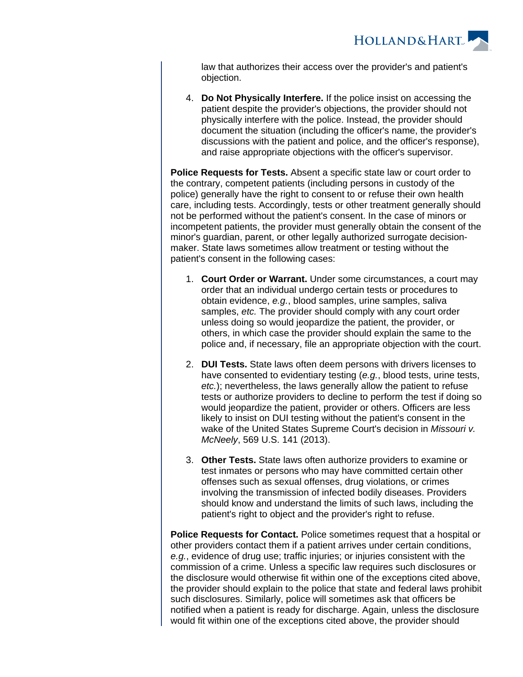**HOLLAND&HART** 

law that authorizes their access over the provider's and patient's objection.

4. **Do Not Physically Interfere.** If the police insist on accessing the patient despite the provider's objections, the provider should not physically interfere with the police. Instead, the provider should document the situation (including the officer's name, the provider's discussions with the patient and police, and the officer's response), and raise appropriate objections with the officer's supervisor.

**Police Requests for Tests.** Absent a specific state law or court order to the contrary, competent patients (including persons in custody of the police) generally have the right to consent to or refuse their own health care, including tests. Accordingly, tests or other treatment generally should not be performed without the patient's consent. In the case of minors or incompetent patients, the provider must generally obtain the consent of the minor's guardian, parent, or other legally authorized surrogate decisionmaker. State laws sometimes allow treatment or testing without the patient's consent in the following cases:

- 1. **Court Order or Warrant.** Under some circumstances, a court may order that an individual undergo certain tests or procedures to obtain evidence, e.g., blood samples, urine samples, saliva samples, etc. The provider should comply with any court order unless doing so would jeopardize the patient, the provider, or others, in which case the provider should explain the same to the police and, if necessary, file an appropriate objection with the court.
- 2. **DUI Tests.** State laws often deem persons with drivers licenses to have consented to evidentiary testing (e.g., blood tests, urine tests, etc.); nevertheless, the laws generally allow the patient to refuse tests or authorize providers to decline to perform the test if doing so would jeopardize the patient, provider or others. Officers are less likely to insist on DUI testing without the patient's consent in the wake of the United States Supreme Court's decision in Missouri v. McNeely, 569 U.S. 141 (2013).
- 3. **Other Tests.** State laws often authorize providers to examine or test inmates or persons who may have committed certain other offenses such as sexual offenses, drug violations, or crimes involving the transmission of infected bodily diseases. Providers should know and understand the limits of such laws, including the patient's right to object and the provider's right to refuse.

**Police Requests for Contact.** Police sometimes request that a hospital or other providers contact them if a patient arrives under certain conditions, e.g., evidence of drug use; traffic injuries; or injuries consistent with the commission of a crime. Unless a specific law requires such disclosures or the disclosure would otherwise fit within one of the exceptions cited above, the provider should explain to the police that state and federal laws prohibit such disclosures. Similarly, police will sometimes ask that officers be notified when a patient is ready for discharge. Again, unless the disclosure would fit within one of the exceptions cited above, the provider should